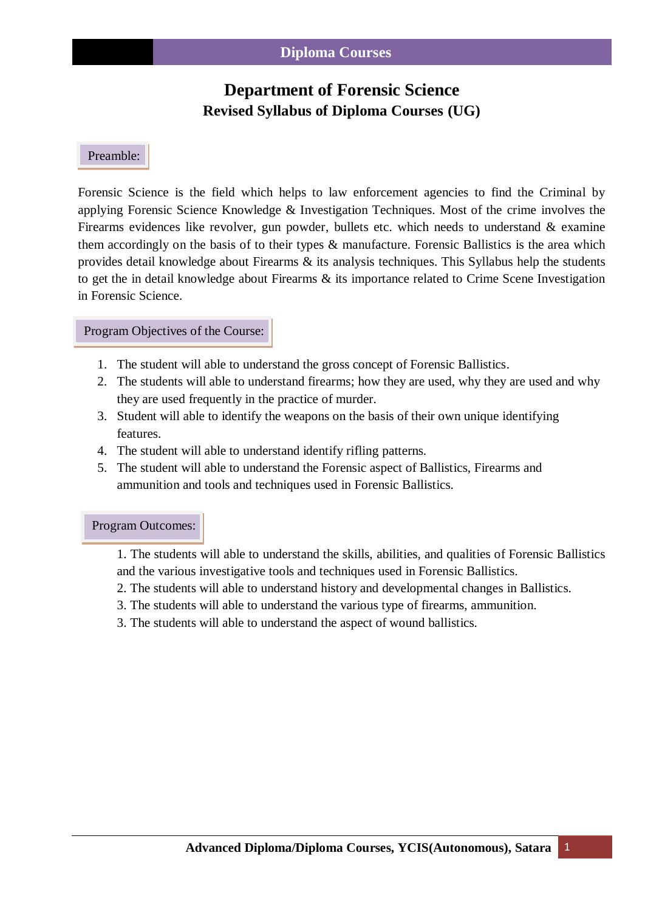# **Department of Forensic Science Revised Syllabus of Diploma Courses (UG)**

### Preamble:

l

Forensic Science is the field which helps to law enforcement agencies to find the Criminal by applying Forensic Science Knowledge & Investigation Techniques. Most of the crime involves the Firearms evidences like revolver, gun powder, bullets etc. which needs to understand & examine them accordingly on the basis of to their types & manufacture. Forensic Ballistics is the area which provides detail knowledge about Firearms & its analysis techniques. This Syllabus help the students to get the in detail knowledge about Firearms & its importance related to Crime Scene Investigation in Forensic Science.

#### Program Objectives of the Course:

- 1. The student will able to understand the gross concept of Forensic Ballistics.
- 2. The students will able to understand firearms; how they are used, why they are used and why they are used frequently in the practice of murder.
- 3. Student will able to identify the weapons on the basis of their own unique identifying features.
- 4. The student will able to understand identify rifling patterns.
- 5. The student will able to understand the Forensic aspect of Ballistics, Firearms and ammunition and tools and techniques used in Forensic Ballistics.

#### Program Outcomes:

1. The students will able to understand the skills, abilities, and qualities of Forensic Ballistics and the various investigative tools and techniques used in Forensic Ballistics.

- 2. The students will able to understand history and developmental changes in Ballistics.
- 3. The students will able to understand the various type of firearms, ammunition.
- 3. The students will able to understand the aspect of wound ballistics.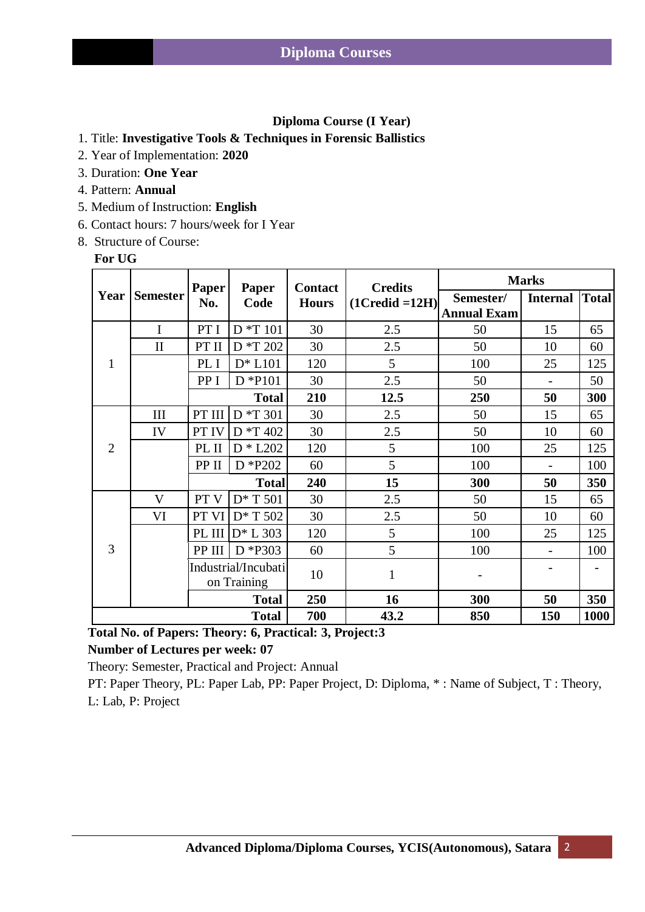### **Diploma Course (I Year)**

- 1. Title: **Investigative Tools & Techniques in Forensic Ballistics**
- 2. Year of Implementation: **2020**
- 3. Duration: **One Year**
- 4. Pattern: **Annual**
- 5. Medium of Instruction: **English**
- 6. Contact hours: 7 hours/week for I Year
- 8. Structure of Course:

#### **For UG**

| Year           | <b>Semester</b>    | <b>Paper</b><br>No.                | Paper<br>Code   | <b>Contact</b><br><b>Hours</b> | <b>Credits</b><br>$(1C_{\text{redid}} = 12H)$ | <b>Marks</b>                    |                 |              |
|----------------|--------------------|------------------------------------|-----------------|--------------------------------|-----------------------------------------------|---------------------------------|-----------------|--------------|
|                |                    |                                    |                 |                                |                                               | Semester/<br><b>Annual Exam</b> | <b>Internal</b> | <b>Total</b> |
| 1              | I                  | PT I                               | $\rm{D}$ *T 101 | 30                             | 2.5                                           | 50                              | 15              | 65           |
|                | $\mathbf{I}$       | PT II                              | D *T 202        | 30                             | 2.5                                           | 50                              | 10              | 60           |
|                |                    | PL I                               | $D^* L101$      | 120                            | 5                                             | 100                             | 25              | 125          |
|                |                    | PP I                               | $D * P101$      | 30                             | 2.5                                           | 50                              |                 | 50           |
|                |                    |                                    | <b>Total</b>    | 210                            | 12.5                                          | 250                             | 50              | 300          |
| $\overline{2}$ | $\mathop{\rm III}$ | PT III                             | D *T 301        | 30                             | 2.5                                           | 50                              | 15              | 65           |
|                | IV                 | PT IV                              | D *T 402        | 30                             | 2.5                                           | 50                              | 10              | 60           |
|                |                    | PL II                              | $D * L202$      | 120                            | 5                                             | 100                             | 25              | 125          |
|                |                    | PP II                              | D *P202         | 60                             | 5                                             | 100                             | $\overline{a}$  | 100          |
|                |                    | <b>Total</b>                       |                 | 240                            | 15                                            | 300                             | 50              | 350          |
| 3              | V                  | PT <sub>V</sub>                    | $D^*T 501$      | 30                             | 2.5                                           | 50                              | 15              | 65           |
|                | VI                 | PT VI                              | D* T 502        | 30                             | 2.5                                           | 50                              | 10              | 60           |
|                |                    | PL III                             | $D^*$ L 303     | 120                            | 5                                             | 100                             | 25              | 125          |
|                |                    | PP III                             | D *P303         | 60                             | 5                                             | 100                             |                 | 100          |
|                |                    | Industrial/Incubati<br>on Training |                 | 10                             | 1                                             |                                 |                 |              |
|                |                    |                                    | <b>Total</b>    | 250                            | 16                                            | 300                             | 50              | 350          |
| <b>Total</b>   |                    |                                    |                 | 700                            | 43.2                                          | 850                             | 150             | 1000         |

 **Total No. of Papers: Theory: 6, Practical: 3, Project:3**

 **Number of Lectures per week: 07**

Theory: Semester, Practical and Project: Annual

 PT: Paper Theory, PL: Paper Lab, PP: Paper Project, D: Diploma, \* : Name of Subject, T : Theory, L: Lab, P: Project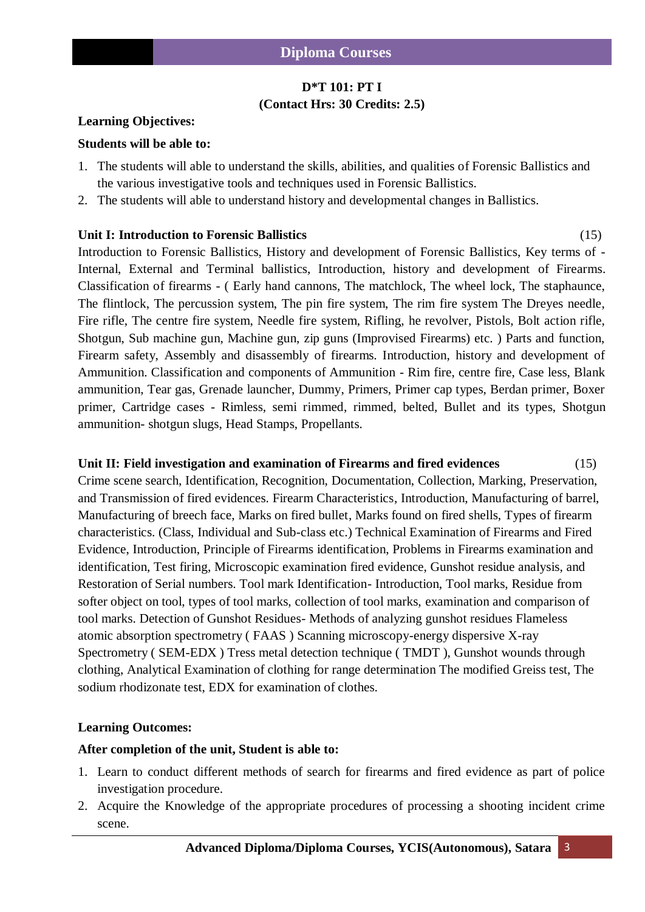## **D\*T 101: PT I (Contact Hrs: 30 Credits: 2.5)**

#### **Learning Objectives:**

#### **Students will be able to:**

- 1. The students will able to understand the skills, abilities, and qualities of Forensic Ballistics and the various investigative tools and techniques used in Forensic Ballistics.
- 2. The students will able to understand history and developmental changes in Ballistics.

#### **Unit I: Introduction to Forensic Ballistics** (15)

Introduction to Forensic Ballistics, History and development of Forensic Ballistics, Key terms of - Internal, External and Terminal ballistics, Introduction, history and development of Firearms. Classification of firearms - ( Early hand cannons, The matchlock, The wheel lock, The staphaunce, The flintlock, The percussion system, The pin fire system, The rim fire system The Dreyes needle, Fire rifle, The centre fire system, Needle fire system, Rifling, he revolver, Pistols, Bolt action rifle, Shotgun, Sub machine gun, Machine gun, zip guns (Improvised Firearms) etc. ) Parts and function, Firearm safety, Assembly and disassembly of firearms. Introduction, history and development of Ammunition. Classification and components of Ammunition - Rim fire, centre fire, Case less, Blank ammunition, Tear gas, Grenade launcher, Dummy, Primers, Primer cap types, Berdan primer, Boxer primer, Cartridge cases - Rimless, semi rimmed, rimmed, belted, Bullet and its types, Shotgun ammunition- shotgun slugs, Head Stamps, Propellants.

#### **Unit II: Field investigation and examination of Firearms and fired evidences** (15)

Crime scene search, Identification, Recognition, Documentation, Collection, Marking, Preservation, and Transmission of fired evidences. Firearm Characteristics, Introduction, Manufacturing of barrel, Manufacturing of breech face, Marks on fired bullet, Marks found on fired shells, Types of firearm characteristics. (Class, Individual and Sub-class etc.) Technical Examination of Firearms and Fired Evidence, Introduction, Principle of Firearms identification, Problems in Firearms examination and identification, Test firing, Microscopic examination fired evidence, Gunshot residue analysis, and Restoration of Serial numbers. Tool mark Identification- Introduction, Tool marks, Residue from softer object on tool, types of tool marks, collection of tool marks, examination and comparison of tool marks. Detection of Gunshot Residues- Methods of analyzing gunshot residues Flameless atomic absorption spectrometry ( FAAS ) Scanning microscopy-energy dispersive X-ray Spectrometry ( SEM-EDX ) Tress metal detection technique ( TMDT ), Gunshot wounds through clothing, Analytical Examination of clothing for range determination The modified Greiss test, The sodium rhodizonate test, EDX for examination of clothes.

#### **Learning Outcomes:**

#### **After completion of the unit, Student is able to:**

- 1. Learn to conduct different methods of search for firearms and fired evidence as part of police investigation procedure.
- 2. Acquire the Knowledge of the appropriate procedures of processing a shooting incident crime scene.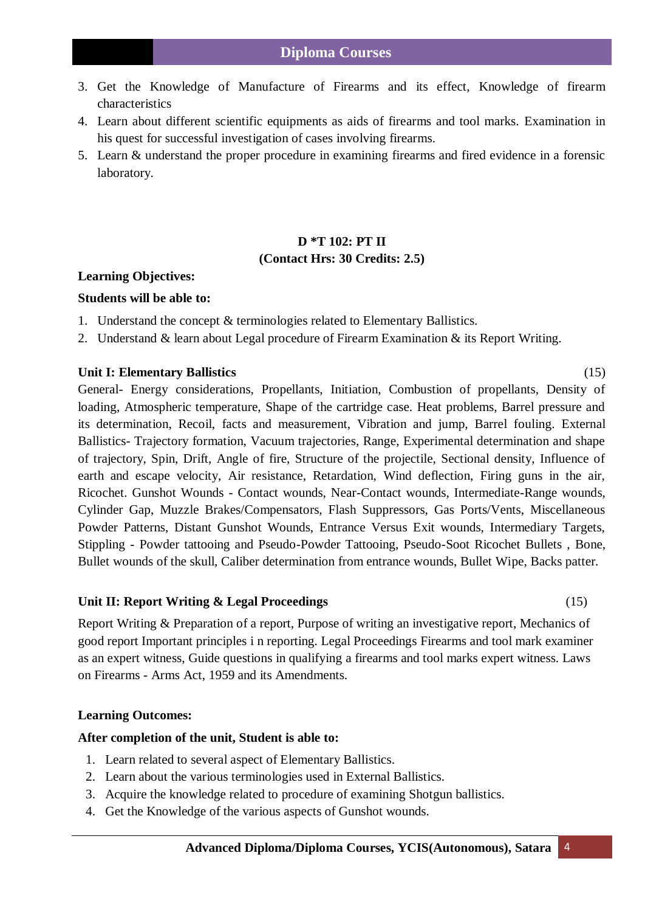- 3. Get the Knowledge of Manufacture of Firearms and its effect, Knowledge of firearm characteristics
- 4. Learn about different scientific equipments as aids of firearms and tool marks. Examination in his quest for successful investigation of cases involving firearms.
- 5. Learn & understand the proper procedure in examining firearms and fired evidence in a forensic laboratory.

## **D \*T 102: PT II (Contact Hrs: 30 Credits: 2.5)**

#### **Learning Objectives:**

#### **Students will be able to:**

- 1. Understand the concept & terminologies related to Elementary Ballistics.
- 2. Understand & learn about Legal procedure of Firearm Examination & its Report Writing.

#### **Unit I: Elementary Ballistics** (15)

General- Energy considerations, Propellants, Initiation, Combustion of propellants, Density of loading, Atmospheric temperature, Shape of the cartridge case. Heat problems, Barrel pressure and its determination, Recoil, facts and measurement, Vibration and jump, Barrel fouling. External Ballistics- Trajectory formation, Vacuum trajectories, Range, Experimental determination and shape of trajectory, Spin, Drift, Angle of fire, Structure of the projectile, Sectional density, Influence of earth and escape velocity, Air resistance, Retardation, Wind deflection, Firing guns in the air, Ricochet. Gunshot Wounds - Contact wounds, Near-Contact wounds, Intermediate-Range wounds, Cylinder Gap, Muzzle Brakes/Compensators, Flash Suppressors, Gas Ports/Vents, Miscellaneous Powder Patterns, Distant Gunshot Wounds, Entrance Versus Exit wounds, Intermediary Targets, Stippling - Powder tattooing and Pseudo-Powder Tattooing, Pseudo-Soot Ricochet Bullets , Bone, Bullet wounds of the skull, Caliber determination from entrance wounds, Bullet Wipe, Backs patter.

#### **Unit II: Report Writing & Legal Proceedings** (15)

Report Writing & Preparation of a report, Purpose of writing an investigative report, Mechanics of good report Important principles i n reporting. Legal Proceedings Firearms and tool mark examiner as an expert witness, Guide questions in qualifying a firearms and tool marks expert witness. Laws on Firearms - Arms Act, 1959 and its Amendments.

#### **Learning Outcomes:**

#### **After completion of the unit, Student is able to:**

- 1. Learn related to several aspect of Elementary Ballistics.
- 2. Learn about the various terminologies used in External Ballistics.
- 3. Acquire the knowledge related to procedure of examining Shotgun ballistics.
- 4. Get the Knowledge of the various aspects of Gunshot wounds.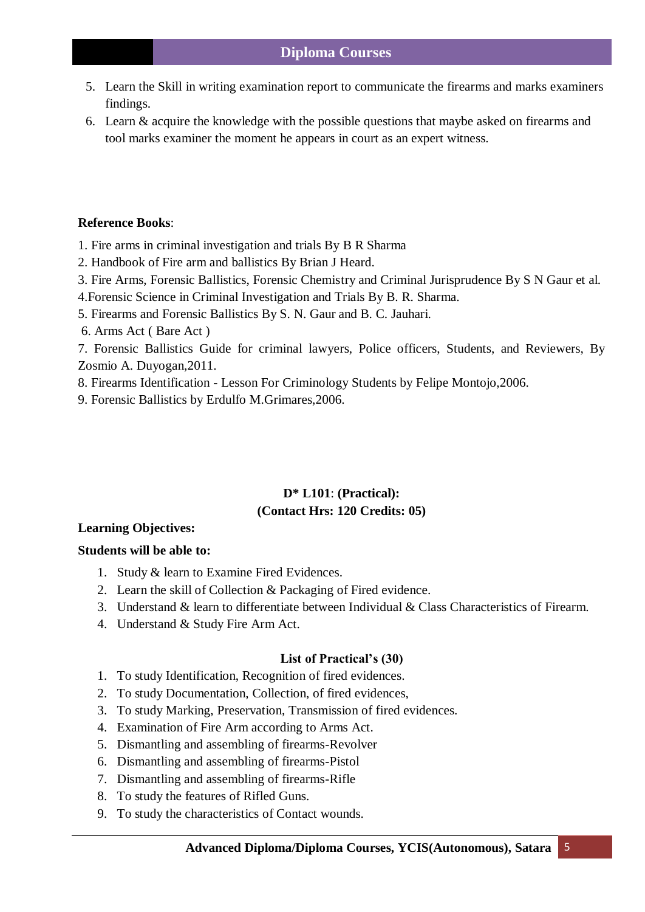- 5. Learn the Skill in writing examination report to communicate the firearms and marks examiners findings.
- 6. Learn & acquire the knowledge with the possible questions that maybe asked on firearms and tool marks examiner the moment he appears in court as an expert witness.

### **Reference Books**:

- 1. Fire arms in criminal investigation and trials By B R Sharma
- 2. Handbook of Fire arm and ballistics By Brian J Heard.
- 3. Fire Arms, Forensic Ballistics, Forensic Chemistry and Criminal Jurisprudence By S N Gaur et al.
- 4.Forensic Science in Criminal Investigation and Trials By B. R. Sharma.
- 5. Firearms and Forensic Ballistics By S. N. Gaur and B. C. Jauhari.
- 6. Arms Act ( Bare Act )

7. Forensic Ballistics Guide for criminal lawyers, Police officers, Students, and Reviewers, By Zosmio A. Duyogan,2011.

- 8. Firearms Identification Lesson For Criminology Students by Felipe Montojo,2006.
- 9. Forensic Ballistics by Erdulfo M.Grimares,2006.

## **D\* L101**: **(Practical): (Contact Hrs: 120 Credits: 05)**

## **Learning Objectives:**

## **Students will be able to:**

- 1. Study & learn to Examine Fired Evidences.
- 2. Learn the skill of Collection & Packaging of Fired evidence.
- 3. Understand & learn to differentiate between Individual & Class Characteristics of Firearm.
- 4. Understand & Study Fire Arm Act.

## **List of Practical's (30)**

- 1. To study Identification, Recognition of fired evidences.
- 2. To study Documentation, Collection, of fired evidences,
- 3. To study Marking, Preservation, Transmission of fired evidences.
- 4. Examination of Fire Arm according to Arms Act.
- 5. Dismantling and assembling of firearms-Revolver
- 6. Dismantling and assembling of firearms-Pistol
- 7. Dismantling and assembling of firearms-Rifle
- 8. To study the features of Rifled Guns.
- 9. To study the characteristics of Contact wounds.